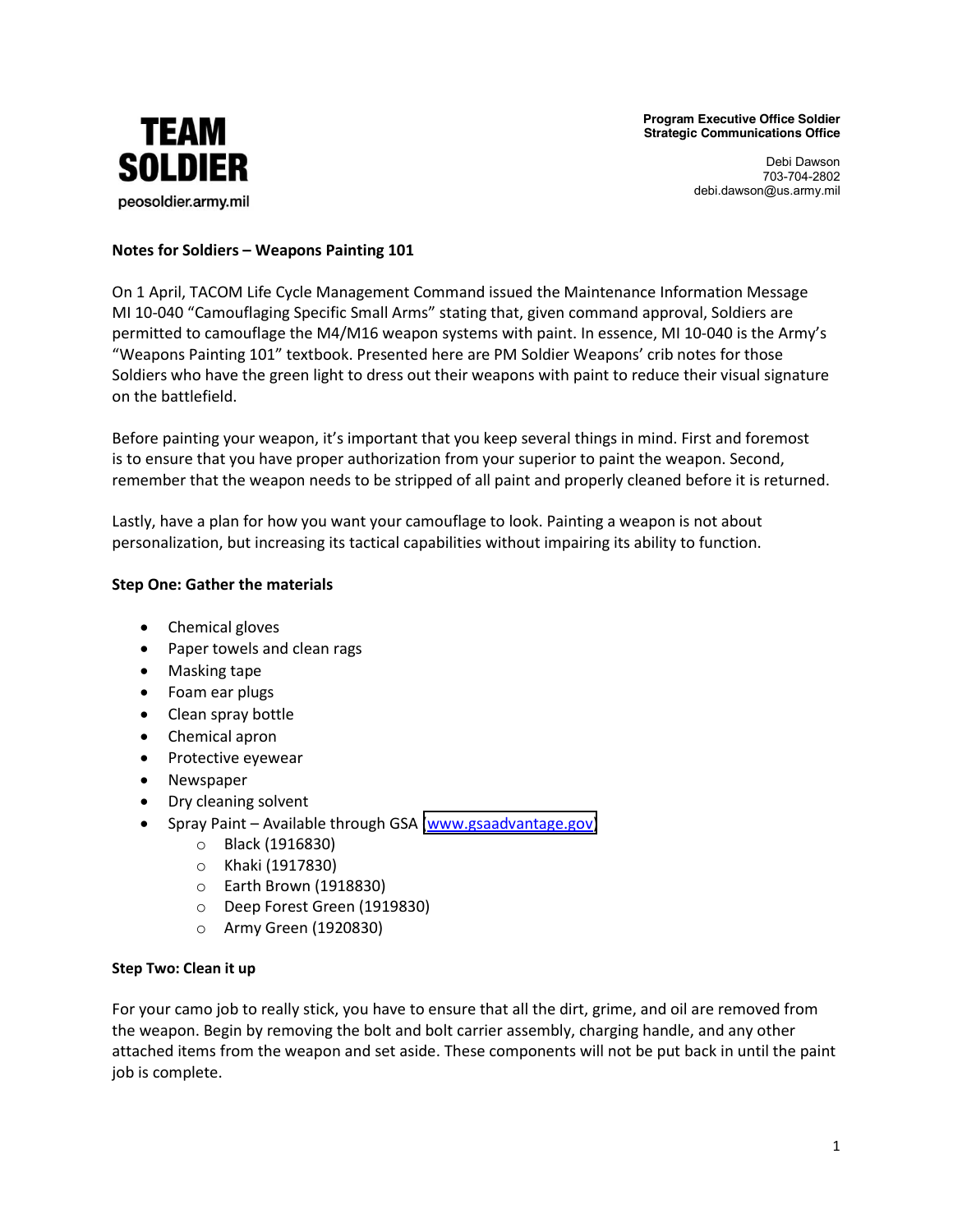**Program Executive Office Soldier Strategic Communications Office**



Debi Dawson 703-704-2802 debi.dawson@us.army.mil

# **Notes for Soldiers – Weapons Painting 101**

On 1 April, TACOM Life Cycle Management Command issued the Maintenance Information Message MI 10-040 "Camouflaging Specific Small Arms" stating that, given command approval, Soldiers are permitted to camouflage the M4/M16 weapon systems with paint. In essence, MI 10-040 is the Army's "Weapons Painting 101" textbook. Presented here are PM Soldier Weapons' crib notes for those Soldiers who have the green light to dress out their weapons with paint to reduce their visual signature on the battlefield.

Before painting your weapon, it's important that you keep several things in mind. First and foremost is to ensure that you have proper authorization from your superior to paint the weapon. Second, remember that the weapon needs to be stripped of all paint and properly cleaned before it is returned.

Lastly, have a plan for how you want your camouflage to look. Painting a weapon is not about personalization, but increasing its tactical capabilities without impairing its ability to function.

# **Step One: Gather the materials**

- Chemical gloves
- Paper towels and clean rags
- $\bullet$  Masking tape
- Foam ear plugs
- Clean spray bottle
- Chemical apron
- Protective eyewear
- Newspaper
- Dry cleaning solvent
- Spray Paint Available through GSA [\(www.gsaadvantage.gov\)](https://www.gsaadvantage.gov/)
	- o Black"(1916830)
	- o Khaki"(1917830)
	- $\circ$  Earth Brown (1918830)
	- o Deep Forest Green (1919830)
	- o Army"Green"(1920830)

### **Step Two: Clean it up**

For your camo job to really stick, you have to ensure that all the dirt, grime, and oil are removed from the weapon. Begin by removing the bolt and bolt carrier assembly, charging handle, and any other attached items from the weapon and set aside. These components will not be put back in until the paint job is complete.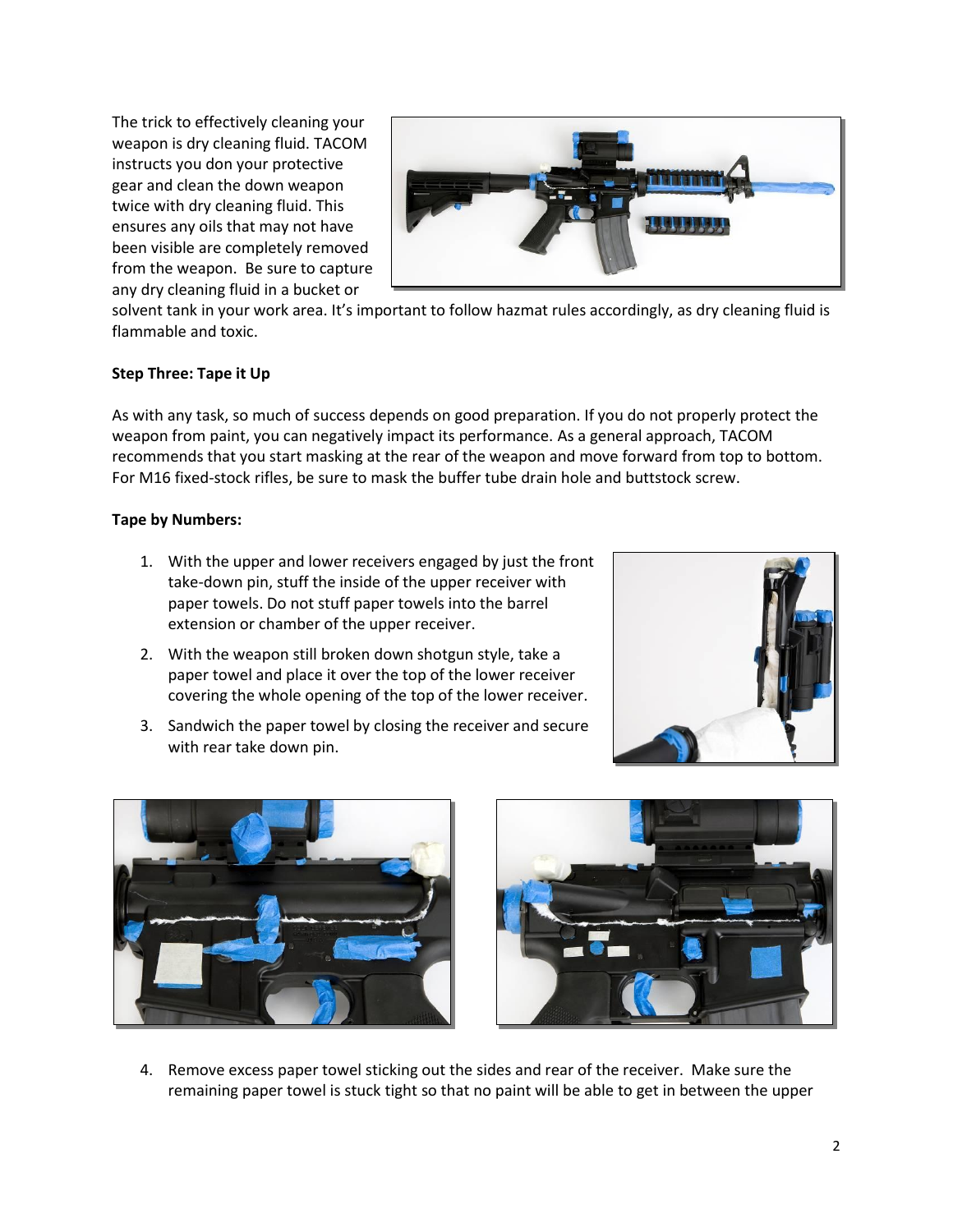The trick to effectively cleaning your weapon is dry cleaning fluid. TACOM instructs you don your protective gear and clean the down weapon twice with dry cleaning fluid. This ensures any oils that may not have been visible are completely removed from the weapon. Be sure to capture any dry cleaning fluid in a bucket or



solvent tank in your work area. It's important to follow hazmat rules accordingly, as dry cleaning fluid is flammable and toxic.

### **Step Three: Tape it Up**

As with any task, so much of success depends on good preparation. If you do not properly protect the weapon from paint, you can negatively impact its performance. As a general approach, TACOM recommends that you start masking at the rear of the weapon and move forward from top to bottom. For M16 fixed-stock rifles, be sure to mask the buffer tube drain hole and buttstock screw.

#### **Tape by Numbers:**

- 1. With the upper and lower receivers engaged by just the front take-down pin, stuff the inside of the upper receiver with paper towels. Do not stuff paper towels into the barrel extension or chamber of the upper receiver.
- 2. With the weapon still broken down shotgun style, take a paper towel and place it over the top of the lower receiver covering the whole opening of the top of the lower receiver.
- 3. Sandwich the paper towel by closing the receiver and secure with rear take down pin.







4. Remove excess paper towel sticking out the sides and rear of the receiver. Make sure the remaining paper towel is stuck tight so that no paint will be able to get in between the upper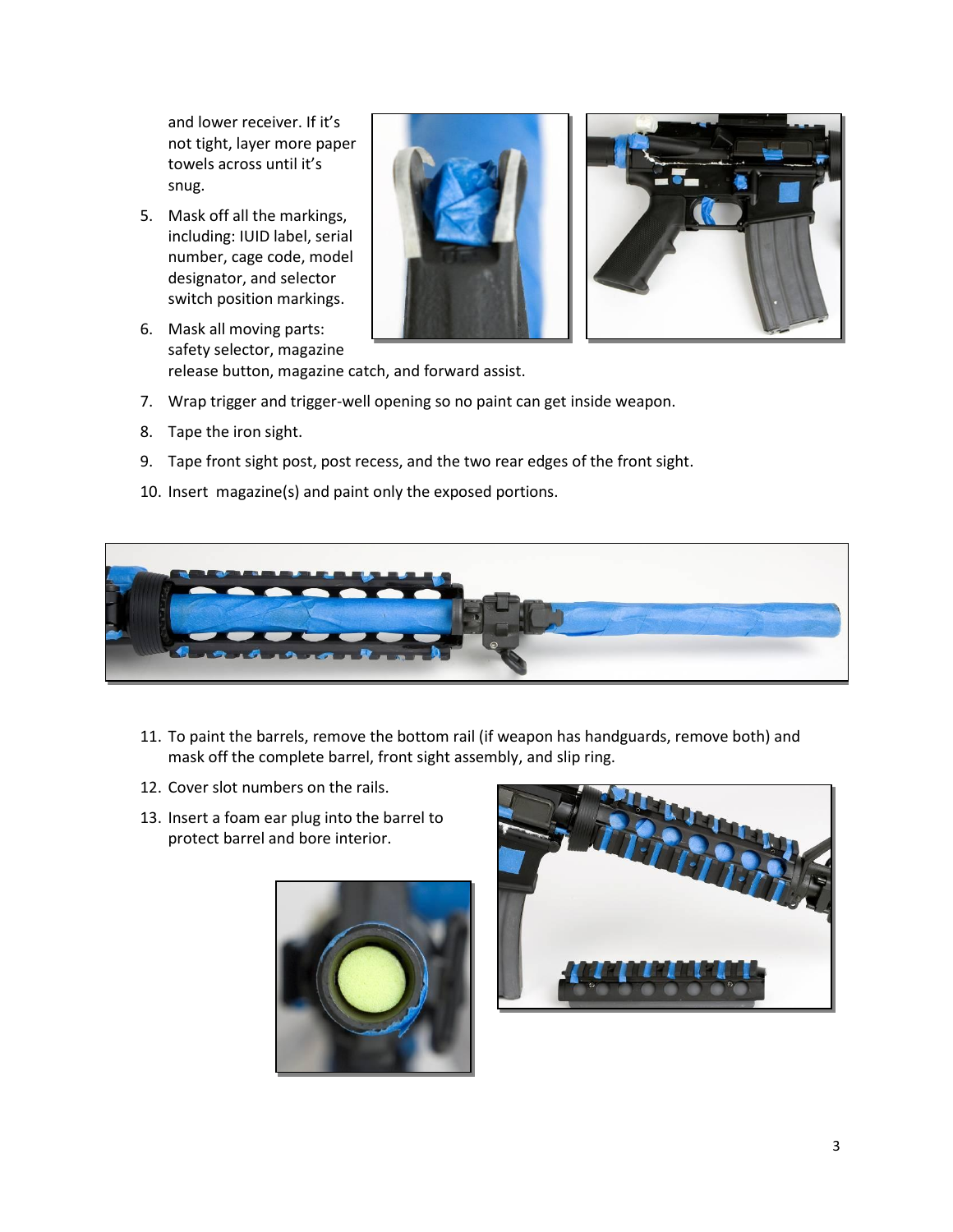and lower receiver. If it's not tight, layer more paper towels across until it's snug.

- 5. Mask off all the markings, including: IUID label, serial number, cage code, model designator, and selector switch position markings.
- 6. Mask all moving parts: safety selector, magazine release button, magazine catch, and forward assist.
- 7. Wrap trigger and trigger-well opening so no paint can get inside weapon.
- 8. Tape the iron sight.
- 9. Tape front sight post, post recess, and the two rear edges of the front sight.
- 10. Insert magazine(s) and paint only the exposed portions.



- 11. To paint the barrels, remove the bottom rail (if weapon has handguards, remove both) and mask off the complete barrel, front sight assembly, and slip ring.
- 12. Cover slot numbers on the rails.
- 13. Insert a foam ear plug into the barrel to protect barrel and bore interior.



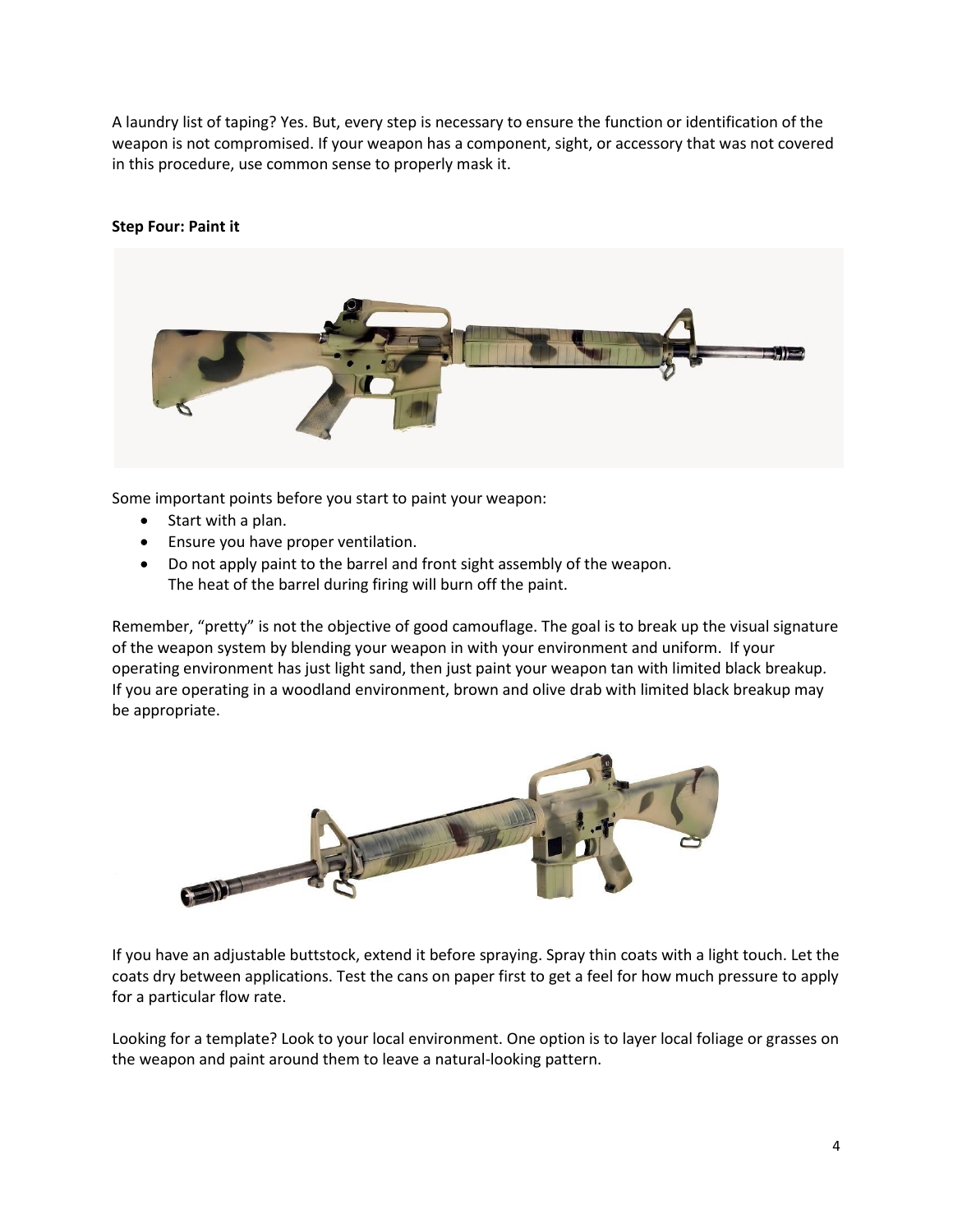A laundry list of taping? Yes. But, every step is necessary to ensure the function or identification of the weapon is not compromised. If your weapon has a component, sight, or accessory that was not covered in this procedure, use common sense to properly mask it.

### **Step Four: Paint it**



Some important points before you start to paint your weapon:

- $\bullet$  Start with a plan.
- **•** Ensure you have proper ventilation.
- Do not apply paint to the barrel and front sight assembly of the weapon. The heat of the barrel during firing will burn off the paint.

Remember, "pretty" is not the objective of good camouflage. The goal is to break up the visual signature of the weapon system by blending your weapon in with your environment and uniform. If your operating environment has just light sand, then just paint your weapon tan with limited black breakup. If you are operating in a woodland environment, brown and olive drab with limited black breakup may be appropriate.



If you have an adjustable buttstock, extend it before spraying. Spray thin coats with a light touch. Let the coats dry between applications. Test the cans on paper first to get a feel for how much pressure to apply for a particular flow rate.

Looking for a template? Look to your local environment. One option is to layer local foliage or grasses on the weapon and paint around them to leave a natural-looking pattern.